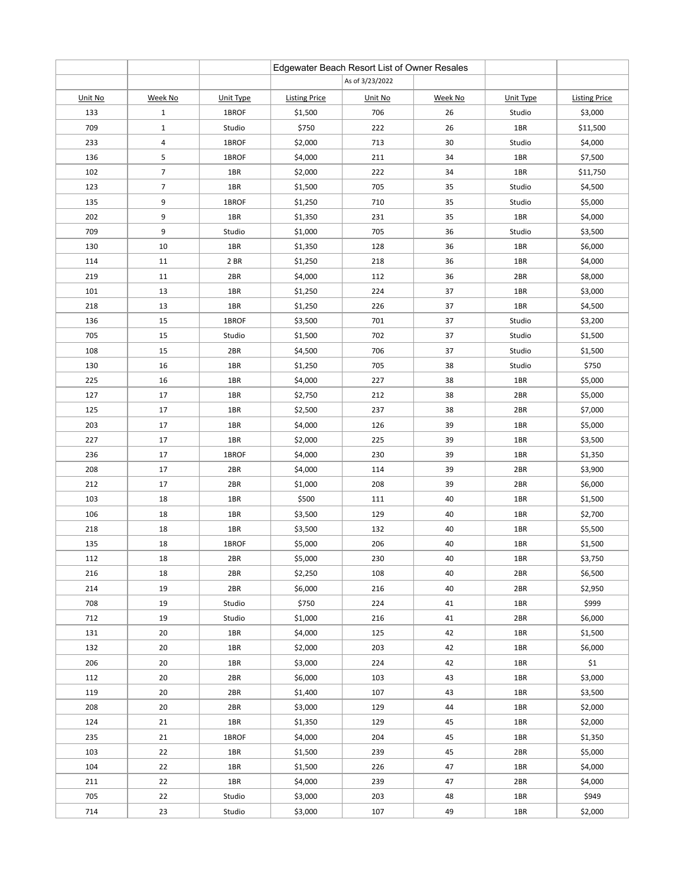|         |                |           |                      | Edgewater Beach Resort List of Owner Resales |         |                 |                      |
|---------|----------------|-----------|----------------------|----------------------------------------------|---------|-----------------|----------------------|
|         |                |           |                      | As of 3/23/2022                              |         |                 |                      |
| Unit No | Week No        | Unit Type | <b>Listing Price</b> | Unit No                                      | Week No | Unit Type       | <b>Listing Price</b> |
| 133     | $\mathbf{1}$   | 1BROF     | \$1,500              | 706                                          | 26      | Studio          | \$3,000              |
| 709     | $\mathbf 1$    | Studio    | \$750                | 222                                          | 26      | 1BR             | \$11,500             |
| 233     | $\overline{a}$ | 1BROF     | \$2,000              | 713                                          | 30      | Studio          | \$4,000              |
| 136     | 5              | 1BROF     | \$4,000              | 211                                          | 34      | 1BR             | \$7,500              |
| 102     | $\overline{7}$ | 1BR       | \$2,000              | 222                                          | 34      | 1BR             | \$11,750             |
| 123     | $\overline{7}$ | 1BR       | \$1,500              | 705                                          | 35      | Studio          | \$4,500              |
| 135     | 9              | 1BROF     | \$1,250              | 710                                          | 35      | Studio          | \$5,000              |
| 202     | 9              | 1BR       | \$1,350              | 231                                          | 35      | 1BR             | \$4,000              |
| 709     | 9              | Studio    | \$1,000              | 705                                          | 36      | Studio          | \$3,500              |
| 130     | 10             | 1BR       | \$1,350              | 128                                          | 36      | 1BR             | \$6,000              |
| 114     | 11             | 2 BR      | \$1,250              | 218                                          | 36      | 1BR             | \$4,000              |
| 219     | 11             | 2BR       | \$4,000              | 112                                          | 36      | 2BR             | \$8,000              |
| 101     | 13             | 1BR       | \$1,250              | 224                                          | 37      | 1BR             | \$3,000              |
| 218     | 13             | 1BR       | \$1,250              | 226                                          | 37      | 1BR             | \$4,500              |
| 136     | 15             | 1BROF     | \$3,500              | 701                                          | 37      | Studio          | \$3,200              |
| 705     | 15             | Studio    | \$1,500              | 702                                          | 37      | Studio          | \$1,500              |
| 108     | 15             | 2BR       | \$4,500              | 706                                          | 37      | Studio          | \$1,500              |
| 130     | 16             | 1BR       | \$1,250              | 705                                          | 38      | Studio          | \$750                |
| 225     | 16             | 1BR       | \$4,000              | 227                                          | 38      | 1BR             | \$5,000              |
| 127     | 17             | 1BR       | \$2,750              | 212                                          | 38      | 2BR             | \$5,000              |
| 125     | 17             | 1BR       | \$2,500              | 237                                          | 38      | 2BR             | \$7,000              |
| 203     | 17             | 1BR       | \$4,000              | 126                                          | 39      | 1BR             | \$5,000              |
| 227     | 17             | 1BR       | \$2,000              | 225                                          | 39      | 1BR             | \$3,500              |
| 236     | 17             | 1BROF     | \$4,000              | 230                                          | 39      | 1BR             | \$1,350              |
| 208     | 17             | 2BR       | \$4,000              | 114                                          | 39      | 2BR             | \$3,900              |
| 212     | 17             | 2BR       | \$1,000              | 208                                          | 39      | 2BR             | \$6,000              |
| 103     | 18             | 1BR       | \$500                | 111                                          | 40      | 1BR             | \$1,500              |
| 106     | 18             | 1BR       | \$3,500              | 129                                          | 40      | 1BR             | \$2,700              |
| 218     | 18             | 1BR       | \$3,500              | 132                                          | 40      | 1BR             | \$5,500              |
| 135     | 18             | 1BROF     | \$5,000              | 206                                          | 40      | 1BR             | \$1,500              |
| 112     | 18             | 2BR       | \$5,000              | 230                                          | 40      | 1BR             | \$3,750              |
| 216     | 18             | 2BR       | \$2,250              | 108                                          | 40      | 2BR             | \$6,500              |
| 214     | 19             | 2BR       | \$6,000              | 216                                          | 40      | 2BR             | \$2,950              |
| 708     | 19             | Studio    | \$750                | 224                                          | 41      | 1BR             | \$999                |
| 712     | 19             | Studio    | \$1,000              | 216                                          | 41      | 2BR             | \$6,000              |
| 131     | 20             | 1BR       | \$4,000              | 125                                          | 42      | 1B <sub>R</sub> | \$1,500              |
| 132     | 20             | 1BR       | \$2,000              | 203                                          | 42      | 1BR             | \$6,000              |
| 206     | 20             | 1BR       | \$3,000              | 224                                          | 42      | 1BR             | \$1                  |
| 112     | 20             | 2BR       | \$6,000              | 103                                          | 43      | 1BR             | \$3,000              |
| 119     | 20             | 2BR       | \$1,400              | 107                                          | 43      | 1BR             | \$3,500              |
| 208     | 20             | 2BR       | \$3,000              | 129                                          | 44      | 1BR             | \$2,000              |
| 124     | 21             | 1BR       | \$1,350              | 129                                          | 45      | 1BR             | \$2,000              |
| 235     | 21             | 1BROF     | \$4,000              | 204                                          | 45      | 1BR             | \$1,350              |
| 103     | 22             | 1BR       | \$1,500              | 239                                          | 45      | 2BR             | \$5,000              |
| 104     | 22             | 1BR       | \$1,500              | 226                                          | 47      | 1BR             | \$4,000              |
| 211     | 22             | 1BR       | \$4,000              | 239                                          | 47      | 2BR             | \$4,000              |
| 705     | 22             | Studio    | \$3,000              | 203                                          | 48      | 1BR             | \$949                |
| 714     | 23             | Studio    | \$3,000              | 107                                          | 49      | 1BR             | \$2,000              |